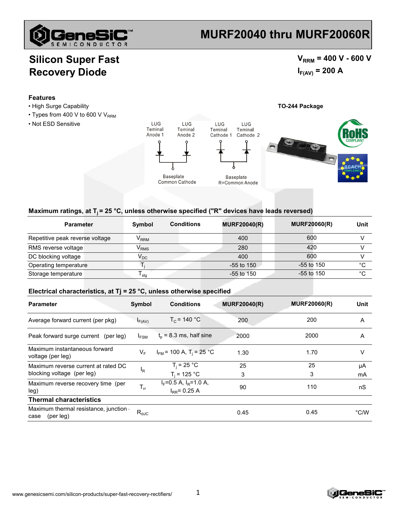

# **MURF20040 thru MURF20060R**

### **Silicon Super Fast Recovery Diode**

 $V_{RRM}$  = 400 V - 600 V  $I_{F(AV)} = 200 A$ 

#### **Features**

- 
- $\cdot$  Types from 400 V to 600 V V<sub>RRM</sub>
- Not ESD Sensitive



#### Maximum ratings, at T<sub>i</sub> = 25 °C, unless otherwise specified ("R" devices have leads reversed)

| <b>Parameter</b>                | Symbol                      | <b>Conditions</b> | <b>MURF20040(R)</b> | <b>MURF20060(R)</b> | Unit |
|---------------------------------|-----------------------------|-------------------|---------------------|---------------------|------|
| Repetitive peak reverse voltage | $\mathsf{V}_{\mathsf{RRM}}$ |                   | 400                 | 600                 |      |
| RMS reverse voltage             | $\mathsf{V}_{\mathsf{RMS}}$ |                   | 280                 | 420                 |      |
| DC blocking voltage             | $\mathsf{V}_\mathsf{DC}$    |                   | 400                 | 600                 |      |
| Operating temperature           |                             |                   | $-55$ to 150        | $-55$ to 150        | °C   |
| Storage temperature             | l stα                       |                   | $-55$ to 150        | $-55$ to 150        | °C   |

#### **Electrical characteristics, at Tj = 25 °C, unless otherwise specified**

| <b>Parameter</b>                                                  | Symbol         | <b>Conditions</b>                                | <b>MURF20040(R)</b> | <b>MURF20060(R)</b> | Unit     |
|-------------------------------------------------------------------|----------------|--------------------------------------------------|---------------------|---------------------|----------|
| Average forward current (per pkg)                                 | $I_{F(AV)}$    | $T_c$ = 140 °C                                   | 200                 | 200                 | A        |
| Peak forward surge current (per leg)                              | $I_{FSM}$      | $t_0$ = 8.3 ms, half sine                        | 2000                | 2000                | A        |
| Maximum instantaneous forward<br>voltage (per leg)                | V <sub>F</sub> | $I_{FM}$ = 100 A, T <sub>i</sub> = 25 °C         | 1.30                | 1.70                | V        |
| Maximum reverse current at rated DC<br>blocking voltage (per leg) | ΙŖ             | $T_i = 25 °C$<br>$T_i = 125 °C$                  | 25<br>3             | 25<br>3             | μA<br>mA |
| Maximum reverse recovery time (per<br>leg)                        | $T_{rr}$       | $I_F$ =0.5 A, $I_R$ =1.0 A,<br>$I_{RR} = 0.25 A$ | 90                  | 110                 | nS       |
| <b>Thermal characteristics</b>                                    |                |                                                  |                     |                     |          |
| Maximum thermal resistance, junction<br>(per leg)<br>case         | $R_{\theta$ JC |                                                  | 0.45                | 0.45                | °C/W     |

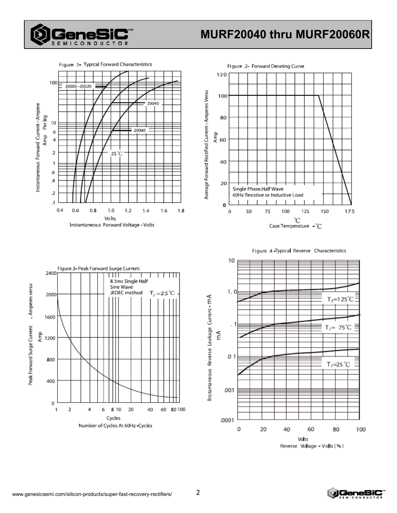

# MURF20040 thru MURF20060R

Figure .1- Typical Forward Characteristics